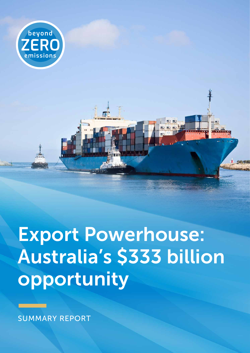

Export Powerhouse: Australia's \$333 billion opportunity

SUMMARY REPORT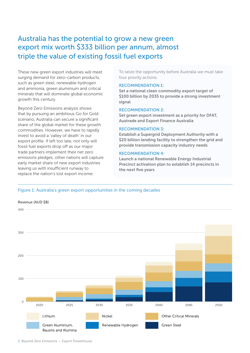### Australia has the potential to grow a new green export mix worth \$333 billion per annum, almost triple the value of existing fossil fuel exports

These new green export industries will meet surging demand for zero-carbon products, such as green steel, renewable hydrogen and ammonia, green aluminium and critical minerals that will dominate global economic growth this century.

Beyond Zero Emissions analysis shows that by pursuing an ambitious Go for Gold scenario, Australia can secure a significant share of the global market for these growth commodities. However, we have to rapidly invest to avoid a 'valley of death' in our export profile. If left too late, not only will fossil fuel exports drop off as our major trade partners implement their net zero emissions pledges, other nations will capture early market share of new export industries leaving us with insufficient runway to replace the nation's lost export income.

To seize the opportunity before Australia we must take four priority actions:

#### RECOMMENDATION 1:

Set a national clean commodity export target of \$100 billion by 2035 to provide a strong investment signal

#### RECOMMENDATION 2:

Set green export investment as a priority for DFAT, Austrade and Export Finance Australia

#### RECOMMENDATION 3:

Establish a Supergrid Deployment Authority with a \$20 billion lending facility to strengthen the grid and provide transmission capacity industry needs

#### RECOMMENDATION 4:

Launch a national Renewable Energy Industrial Precinct activation plan to establish 14 precincts in the next five years

## Figure 1: Australia's green export opportunities in the coming decades Figure 1: Australia's green export opportunities in the coming decades



#### 2 Beyond Zero Emissions — Export Powerhouse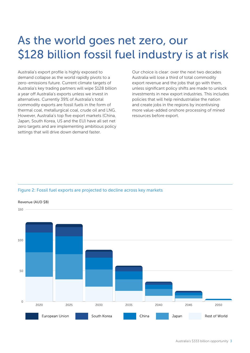# As the world goes net zero, our \$128 billion fossil fuel industry is at risk

Australia's export profile is highly exposed to demand collapse as the world rapidly pivots to a zero-emissions future. Current climate targets of Australia's key trading partners will wipe \$128 billion a year off Australia's exports unless we invest in alternatives. Currently 39% of Australia's total commodity exports are fossil fuels in the form of thermal coal, metallurgical coal, crude oil and LNG. However, Australia's top five export markets (China, Japan, South Korea, US and the EU) have all set net zero targets and are implementing ambitious policy settings that will drive down demand faster.

Our choice is clear: over the next two decades Australia will lose a third of total commodity export revenue and the jobs that go with them, unless significant policy shifts are made to unlock investments in new export industries. This includes policies that will help reindustrialise the nation and create jobs in the regions by incentivising more value-added onshore processing of mined resources before export.

#### Figure 2: Fossil fuel exports are projected to decline across key markets Figure 2: Fossil fuel exports are projected to decline across key markets

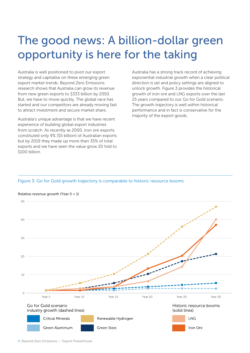# The good news: A billion-dollar green opportunity is here for the taking

Australia is well positioned to pivot our export strategy and capitalise on these emerging green export market trends. Beyond Zero Emissions research shows that Australia can grow its revenue from new green exports to \$333 billion by 2050. But, we have to move quickly. The global race has started and our competitors are already moving fast to attract investment and secure market share.

Australia's unique advantage is that we have recent experience of building global export industries from scratch. As recently as 2000, iron ore exports constituted only 9% (\$5 billion) of Australian exports but by 2019 they made up more than 35% of total exports and we have seen the value grow 20 fold to \$100 billion.

Australia has a strong track record of achieving exponential industrial growth when a clear political direction is set and policy settings are aligned to unlock growth. Figure 3 provides the historical growth of iron ore and LNG exports over the last 25 years compared to our Go for Gold scenario. The growth trajectory is well within historical performance and in fact is conservative for the majority of the export goods.

#### Figure 3: Go for Gold growth trajectory is comparable to historic resource booms Figure 3: Go for Gold growth trajectory is comparable to historic resource booms



#### Relative revenue growth (Year 5 = 1)

<sup>4</sup> Beyond Zero Emissions — Export Powerhouse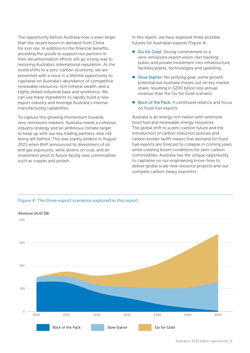The opportunity before Australia now is even larger than the recent boom in demand from China for iron ore. In addition to the financial benefits, providing the goods to support our partners in their decarbonisation efforts will go a long way to restoring Australia's international reputation. As the world shifts to a zero-carbon economy, we are presented with a once in a lifetime opportunity to capitalise on Australia's abundance of competitive renewable resources, rich mineral wealth, and a highly skilled industrial base and workforce. We can use these ingredients to rapidly build a new export industry and leverage Australia's internal manufacturing capabilities.

To capture this growing momentum towards zero-emissions markets, Australia needs a cohesive industry strategy and an ambitious climate target to keep up with our key trading partners, else risk being left behind. This was starkly evident in August 2021 when BHP announced its divestment of oil and gas exposures, write downs on coal, and an investment pivot to future facing new commodities such as copper and potash.

In this report, we have explored three possible futures for Australian exports (Figure 4).

- Go for Gold: Strong commitment to a zero-emissions export vision, fast tracking public and private investment into infrastructure, facilities/plants, technologies and upskilling
- Slow Starter: No unifying goal, some growth potential but Australia misses out on key market share, resulting in \$200 billion less annual revenue than the Go for Gold scenario
- Back of the Pack: A continued reliance and focus on fossil fuel exports

Australia is an energy rich nation with extensive fossil fuel and renewable energy resources. The global shift to a zero-carbon future and the introduction of carbon reduction policies and carbon border tariffs means that demand for fossil fuel exports are forecast to collapse in coming years while creating boom conditions for zero-carbon commodities. Australia has the unique opportunity to capitalise on our engineering know-how to deliver global scale new resource projects and out compete carbon-heavy exporters.



### Figure 4: The three export scenarios explored in this report Figure 4: The three export scenarios explored in this report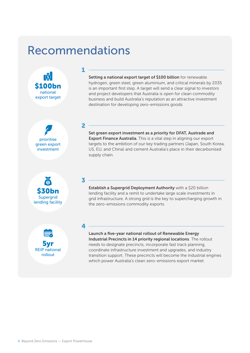## Recommendations

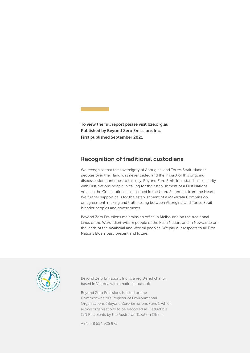To view the full report please visit bze.org.au Published by Beyond Zero Emissions Inc. First published September 2021

### Recognition of traditional custodians

We recognise that the sovereignty of Aboriginal and Torres Strait Islander peoples over their land was never ceded and the impact of this ongoing dispossession continues to this day. Beyond Zero Emissions stands in solidarity with First Nations people in calling for the establishment of a First Nations Voice in the Constitution, as described in the Uluru Statement from the Heart. We further support calls for the establishment of a Makarrata Commission on agreement-making and truth-telling between Aboriginal and Torres Strait Islander peoples and governments.

Beyond Zero Emissions maintains an office in Melbourne on the traditional lands of the Wurundjeri-willam people of the Kulin Nation, and in Newcastle on the lands of the Awabakal and Worimi peoples. We pay our respects to all First Nations Elders past, present and future.



Beyond Zero Emissions Inc. is a registered charity, based in Victoria with a national outlook.

Beyond Zero Emissions is listed on the Commonwealth's Register of Environmental Organisations ('Beyond Zero Emissions Fund'), which allows organisations to be endorsed as Deductible Gift Recipients by the Australian Taxation Office.

ABN: 48 554 925 975